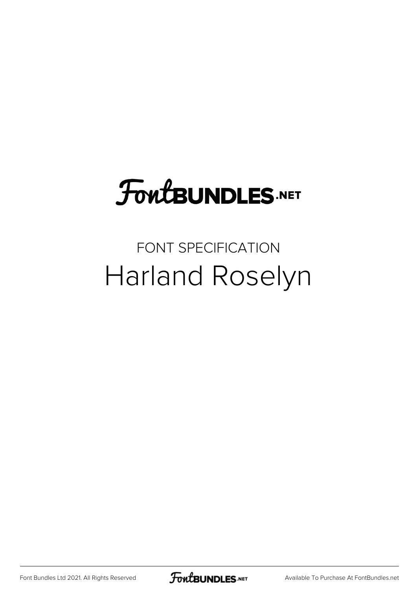# **FoutBUNDLES.NET**

#### FONT SPECIFICATION Harland Roselyn

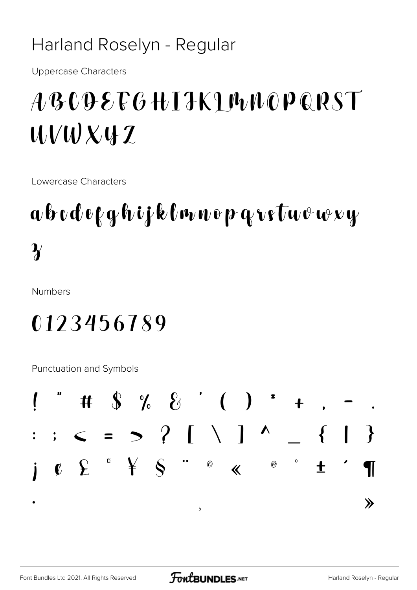#### Harland Roselyn - Regular

**Uppercase Characters** 

## ABCDEFGHIJKIMNOPQRST  $UVWX4Z$

Lowercase Characters

## abodefghijklmnepgretuvwy  $\boldsymbol{\gamma}$

**Numbers** 

### 0123456789

Punctuation and Symbols

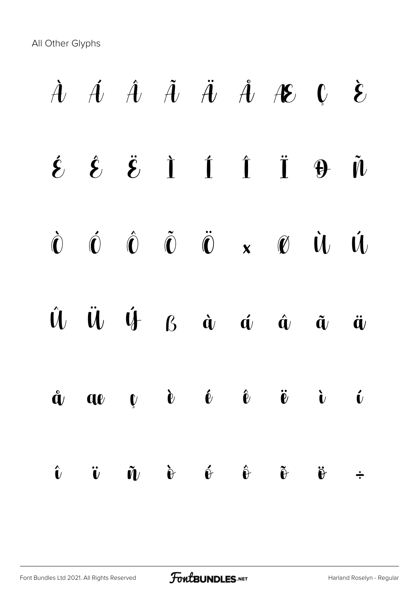All Other Glyphs

 $\dot{A}$   $\dot{A}$   $\ddot{A}$   $\ddot{A}$   $\ddot{A}$   $\dot{A}$   $\dot{B}$   $C$   $\dot{E}$  $\acute{\epsilon}$   $\acute{\epsilon}$   $\ddot{\acute{\epsilon}}$   $\dot{\acute{\epsilon}}$   $\ddot{\acute{\epsilon}}$   $\ddot{\acute{\epsilon}}$   $\ddot{\acute{\epsilon}}$   $\ddot{\acute{\epsilon}}$   $\ddot{\acute{\epsilon}}$   $\ddot{\acute{\epsilon}}$   $\ddot{\acute{\epsilon}}$   $\ddot{\acute{\epsilon}}$   $\ddot{\acute{\epsilon}}$   $\ddot{\acute{\epsilon}}$   $\ddot{\acute{\epsilon}}$   $\ddot{\acute{\epsilon}}$   $\ddot{\acute{\epsilon}}$   $\ddot{\acute{\epsilon}}$   $\ddot{\acute{\epsilon}}$   $\ddot{\acute{\epsilon}}$   $\ddot{\acute{\epsilon$ Ò Ó Ô Õ Ö × Ø Ù Ú Û Ü Ý ß à á â ã ä  $\mathring{\mathbf{a}}$  av  $\mathring{\mathbf{v}}$   $\mathring{\mathbf{e}}$   $\mathring{\mathbf{e}}$   $\mathring{\mathbf{e}}$   $\mathring{\mathbf{e}}$   $\mathring{\mathbf{v}}$   $\mathring{\mathbf{v}}$   $\mathring{\mathbf{v}}$  $\hat{\mathbf{u}}$   $\hat{\mathbf{v}}$   $\hat{\mathbf{v}}$   $\hat{\mathbf{v}}$   $\hat{\mathbf{v}}$   $\hat{\mathbf{v}}$   $\hat{\mathbf{v}}$   $\hat{\mathbf{v}}$   $\hat{\mathbf{v}}$   $\hat{\mathbf{v}}$   $\hat{\mathbf{v}}$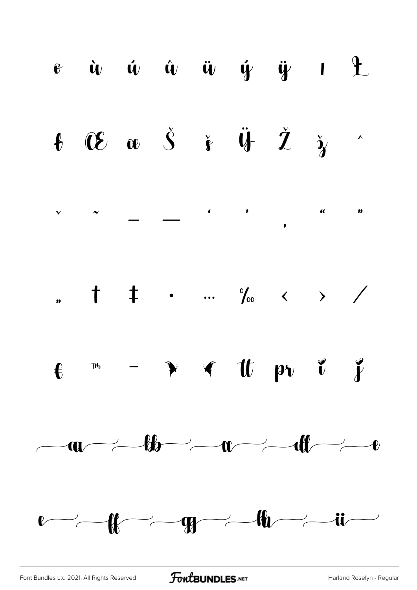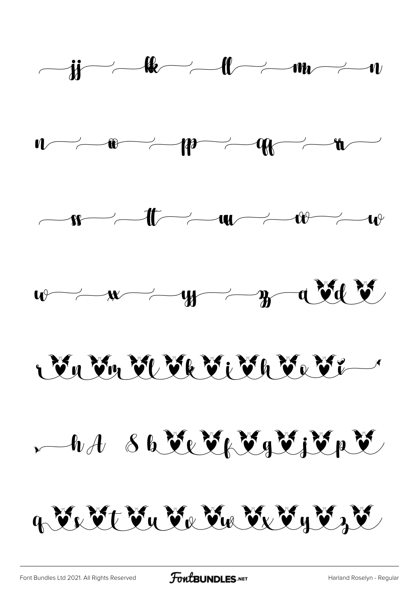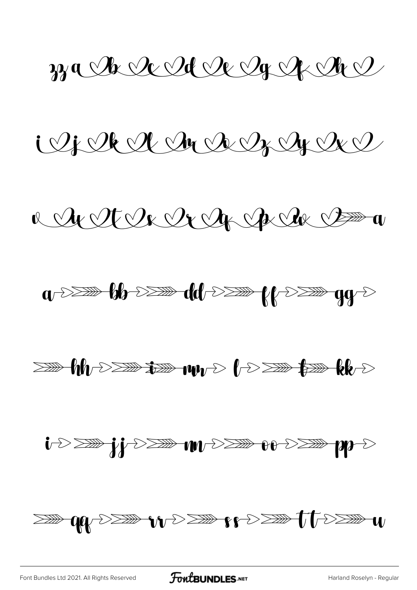zza Ar Ar Al Ar Ar Ar A

iljekel Indreydre

a Arte Ce Arch Arch Boom